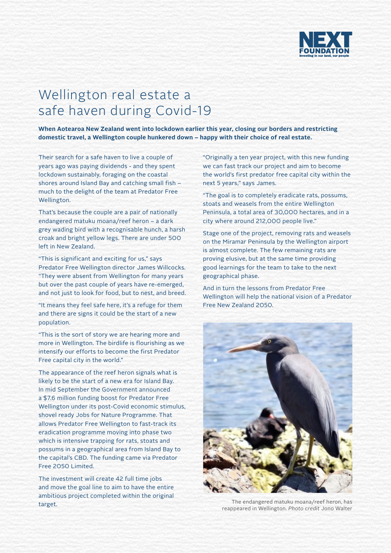

## Wellington real estate a safe haven during Covid-19

**When Aotearoa New Zealand went into lockdown earlier this year, closing our borders and restricting domestic travel, a Wellington couple hunkered down – happy with their choice of real estate.** 

Their search for a safe haven to live a couple of years ago was paying dividends - and they spent lockdown sustainably, foraging on the coastal shores around Island Bay and catching small fish – much to the delight of the team at Predator Free Wellington.

That's because the couple are a pair of nationally endangered matuku moana/reef heron – a dark grey wading bird with a recognisable hunch, a harsh croak and bright yellow legs. There are under 500 left in New Zealand.

"This is significant and exciting for us," says Predator Free Wellington director James Willcocks. "They were absent from Wellington for many years but over the past couple of years have re-emerged, and not just to look for food, but to nest, and breed.

"It means they feel safe here, it's a refuge for them and there are signs it could be the start of a new population.

"This is the sort of story we are hearing more and more in Wellington. The birdlife is flourishing as we intensify our efforts to become the first Predator Free capital city in the world."

The appearance of the reef heron signals what is likely to be the start of a new era for Island Bay. In mid September the Government announced a \$7.6 million funding boost for Predator Free Wellington under its post-Covid economic stimulus, shovel ready Jobs for Nature Programme. That allows Predator Free Wellington to fast-track its eradication programme moving into phase two which is intensive trapping for rats, stoats and possums in a geographical area from Island Bay to the capital's CBD. The funding came via Predator Free 2050 Limited.

The investment will create 42 full time jobs and move the goal line to aim to have the entire ambitious project completed within the original target.

"Originally a ten year project, with this new funding we can fast track our project and aim to become the world's first predator free capital city within the next 5 years," says James.

"The goal is to completely eradicate rats, possums, stoats and weasels from the entire Wellington Peninsula, a total area of 30,000 hectares, and in a city where around 212,000 people live."

Stage one of the project, removing rats and weasels on the Miramar Peninsula by the Wellington airport is almost complete. The few remaining rats are proving elusive, but at the same time providing good learnings for the team to take to the next geographical phase.

And in turn the lessons from Predator Free Wellington will help the national vision of a Predator Free New Zealand 2050.



The endangered matuku moana/reef heron, has reappeared in Wellington. *Photo credit* Jono Walter